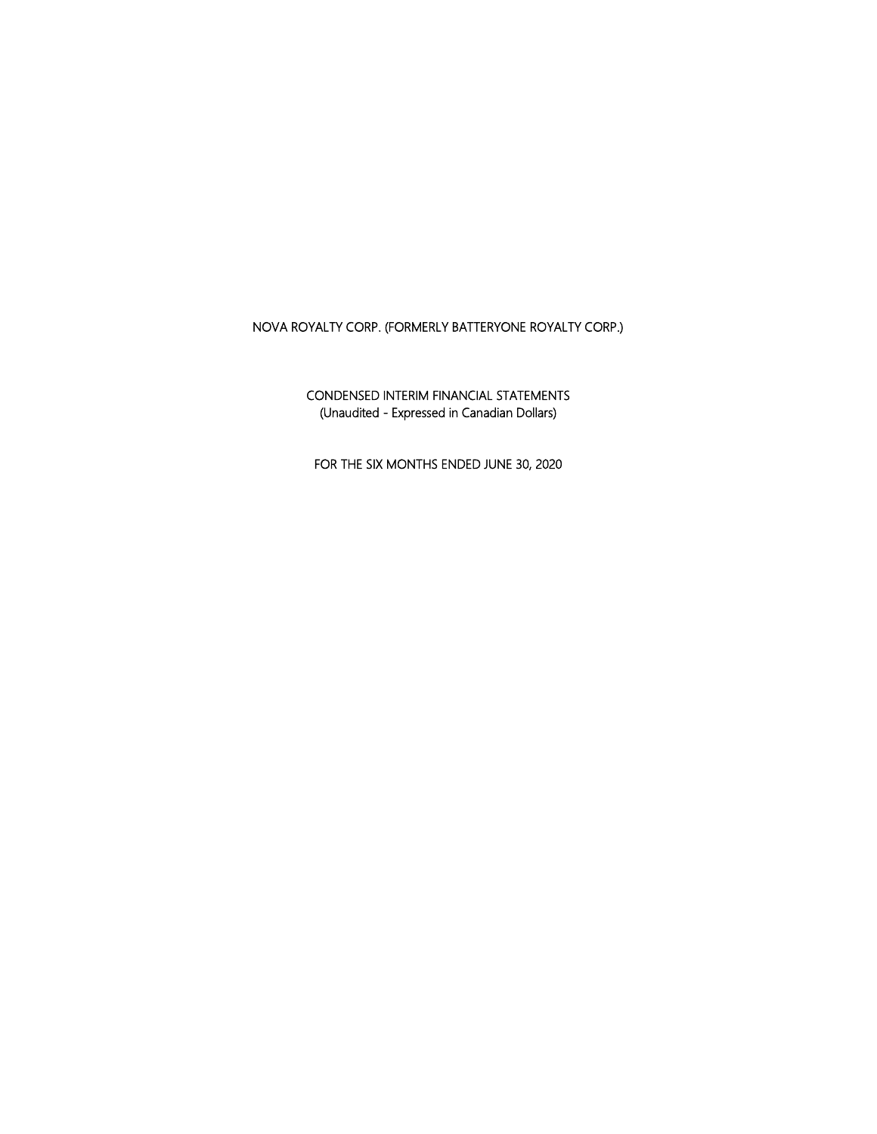CONDENSED INTERIM FINANCIAL STATEMENTS (Unaudited - Expressed in Canadian Dollars)

FOR THE SIX MONTHS ENDED JUNE 30, 2020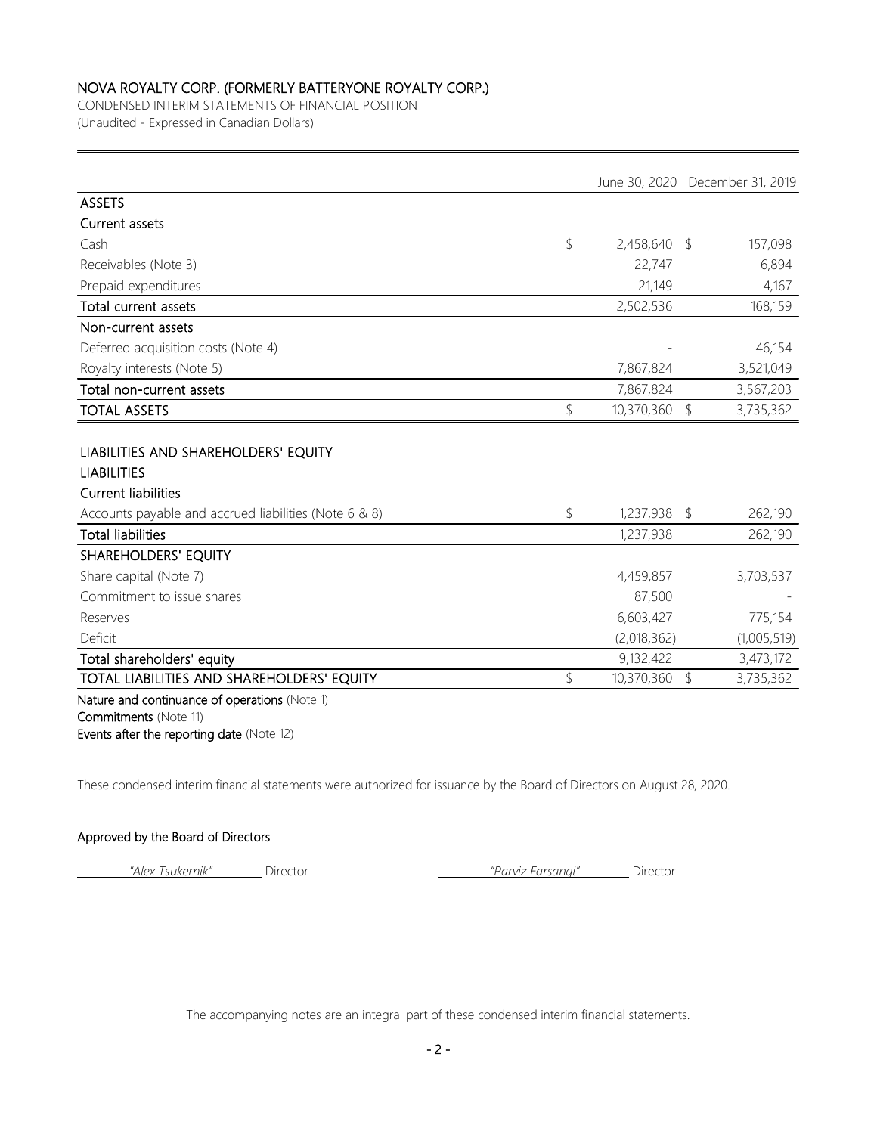CONDENSED INTERIM STATEMENTS OF FINANCIAL POSITION (Unaudited - Expressed in Canadian Dollars)

|                                                                                          |                  |            | June 30, 2020 December 31, 2019 |
|------------------------------------------------------------------------------------------|------------------|------------|---------------------------------|
| <b>ASSETS</b>                                                                            |                  |            |                                 |
| Current assets                                                                           |                  |            |                                 |
| Cash                                                                                     | \$<br>2,458,640  | -\$        | 157,098                         |
| Receivables (Note 3)                                                                     | 22,747           |            | 6,894                           |
| Prepaid expenditures                                                                     | 21,149           |            | 4,167                           |
| Total current assets                                                                     | 2,502,536        |            | 168,159                         |
| Non-current assets                                                                       |                  |            |                                 |
| Deferred acquisition costs (Note 4)                                                      |                  |            | 46,154                          |
| Royalty interests (Note 5)                                                               | 7,867,824        |            | 3,521,049                       |
| Total non-current assets                                                                 | 7,867,824        |            | 3,567,203                       |
| <b>TOTAL ASSETS</b>                                                                      | \$<br>10,370,360 | $\sqrt{2}$ | 3,735,362                       |
| LIABILITIES AND SHAREHOLDERS' EQUITY<br><b>LIABILITIES</b><br><b>Current liabilities</b> |                  |            |                                 |
| Accounts payable and accrued liabilities (Note 6 & 8)                                    | \$<br>1,237,938  | \$         | 262,190                         |
| <b>Total liabilities</b>                                                                 | 1,237,938        |            | 262,190                         |
| SHAREHOLDERS' EQUITY                                                                     |                  |            |                                 |
| Share capital (Note 7)                                                                   | 4,459,857        |            | 3,703,537                       |
| Commitment to issue shares                                                               | 87,500           |            |                                 |
| Reserves                                                                                 | 6,603,427        |            | 775,154                         |
| Deficit                                                                                  | (2,018,362)      |            | (1,005,519)                     |
| Total shareholders' equity                                                               | 9,132,422        |            | 3,473,172                       |
| TOTAL LIABILITIES AND SHAREHOLDERS' EQUITY                                               | \$<br>10,370,360 | $\sqrt{2}$ | 3,735,362                       |
| Nature and continuance of operations (Note 1)<br>Commitments (Note 11)                   |                  |            |                                 |

Events after the reporting date (Note 12)

These condensed interim financial statements were authorized for issuance by the Board of Directors on August 28, 2020.

### Approved by the Board of Directors

*"Alex Tsukernik"* Director *"Parviz Farsangi"* Director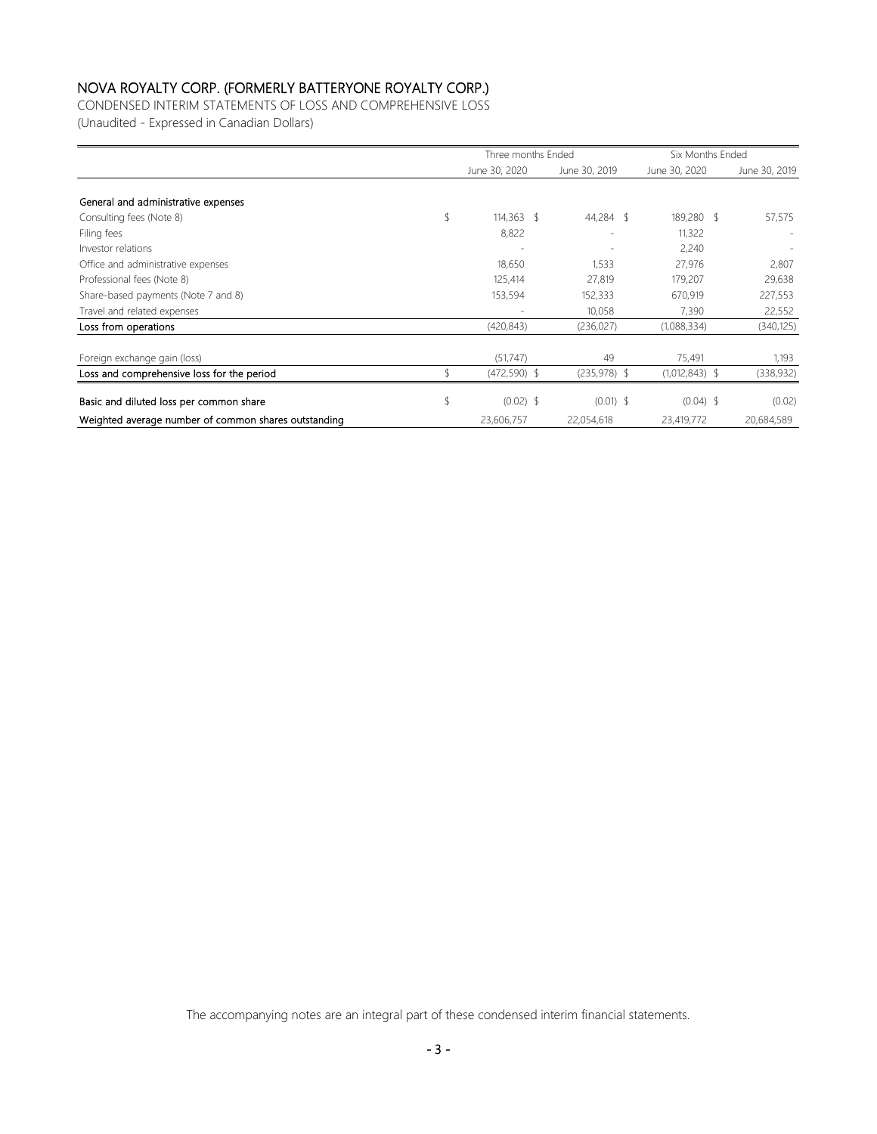CONDENSED INTERIM STATEMENTS OF LOSS AND COMPREHENSIVE LOSS (Unaudited - Expressed in Canadian Dollars)

|                                                      | Three months Ended |                          | Six Months Ended |               |
|------------------------------------------------------|--------------------|--------------------------|------------------|---------------|
|                                                      | June 30, 2020      | June 30, 2019            | June 30, 2020    | June 30, 2019 |
|                                                      |                    |                          |                  |               |
| General and administrative expenses                  |                    |                          |                  |               |
| Consulting fees (Note 8)                             | \$<br>$114.363$ \$ | 44,284 \$                | 189,280 \$       | 57,575        |
| Filing fees                                          | 8,822              |                          | 11,322           |               |
| Investor relations                                   |                    | $\overline{\phantom{0}}$ | 2,240            |               |
| Office and administrative expenses                   | 18,650             | 1,533                    | 27,976           | 2,807         |
| Professional fees (Note 8)                           | 125,414            | 27,819                   | 179,207          | 29,638        |
| Share-based payments (Note 7 and 8)                  | 153,594            | 152,333                  | 670,919          | 227,553       |
| Travel and related expenses                          | ۰                  | 10.058                   | 7,390            | 22,552        |
| Loss from operations                                 | (420, 843)         | (236, 027)               | (1,088,334)      | (340, 125)    |
| Foreign exchange gain (loss)                         | (51,747)           | 49                       | 75,491           | 1,193         |
| Loss and comprehensive loss for the period           | $(472, 590)$ \$    | $(235,978)$ \$           | $(1,012,843)$ \$ | (338, 932)    |
| Basic and diluted loss per common share              | \$<br>$(0.02)$ \$  | $(0.01)$ \$              | $(0.04)$ \$      | (0.02)        |
| Weighted average number of common shares outstanding | 23,606,757         | 22,054,618               | 23,419,772       | 20,684,589    |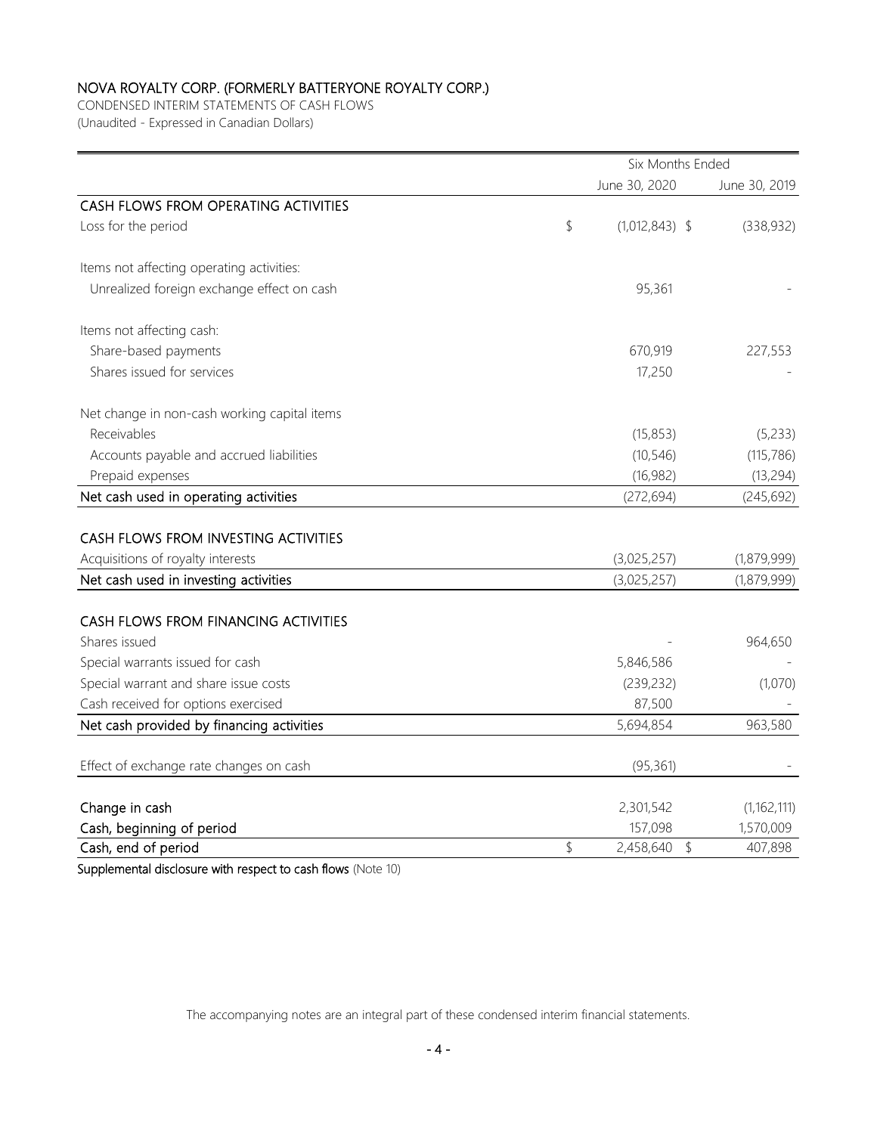CONDENSED INTERIM STATEMENTS OF CASH FLOWS (Unaudited - Expressed in Canadian Dollars)

|                                              | Six Months Ended |                  |               |  |  |  |
|----------------------------------------------|------------------|------------------|---------------|--|--|--|
|                                              |                  | June 30, 2020    | June 30, 2019 |  |  |  |
| CASH FLOWS FROM OPERATING ACTIVITIES         |                  |                  |               |  |  |  |
| Loss for the period                          | \$               | $(1,012,843)$ \$ | (338, 932)    |  |  |  |
| Items not affecting operating activities:    |                  |                  |               |  |  |  |
| Unrealized foreign exchange effect on cash   |                  | 95,361           |               |  |  |  |
| Items not affecting cash:                    |                  |                  |               |  |  |  |
| Share-based payments                         |                  | 670,919          | 227,553       |  |  |  |
| Shares issued for services                   |                  | 17,250           |               |  |  |  |
| Net change in non-cash working capital items |                  |                  |               |  |  |  |
| Receivables                                  |                  | (15, 853)        | (5,233)       |  |  |  |
| Accounts payable and accrued liabilities     |                  | (10, 546)        | (115, 786)    |  |  |  |
| Prepaid expenses                             |                  | (16, 982)        | (13, 294)     |  |  |  |
| Net cash used in operating activities        |                  | (272, 694)       | (245, 692)    |  |  |  |
|                                              |                  |                  |               |  |  |  |
| CASH FLOWS FROM INVESTING ACTIVITIES         |                  |                  |               |  |  |  |
| Acquisitions of royalty interests            |                  | (3,025,257)      | (1,879,999)   |  |  |  |
| Net cash used in investing activities        |                  | (3,025,257)      | (1,879,999)   |  |  |  |
| CASH FLOWS FROM FINANCING ACTIVITIES         |                  |                  |               |  |  |  |
| Shares issued                                |                  |                  | 964,650       |  |  |  |
| Special warrants issued for cash             |                  | 5,846,586        |               |  |  |  |
| Special warrant and share issue costs        |                  | (239, 232)       | (1,070)       |  |  |  |
| Cash received for options exercised          |                  | 87,500           |               |  |  |  |
| Net cash provided by financing activities    |                  | 5,694,854        | 963,580       |  |  |  |
| Effect of exchange rate changes on cash      |                  | (95, 361)        |               |  |  |  |
|                                              |                  |                  |               |  |  |  |
| Change in cash                               |                  | 2,301,542        | (1, 162, 111) |  |  |  |
| Cash, beginning of period                    |                  | 157,098          | 1,570,009     |  |  |  |
| Cash, end of period                          | \$               | 2,458,640<br>\$  | 407,898       |  |  |  |

Supplemental disclosure with respect to cash flows (Note 10)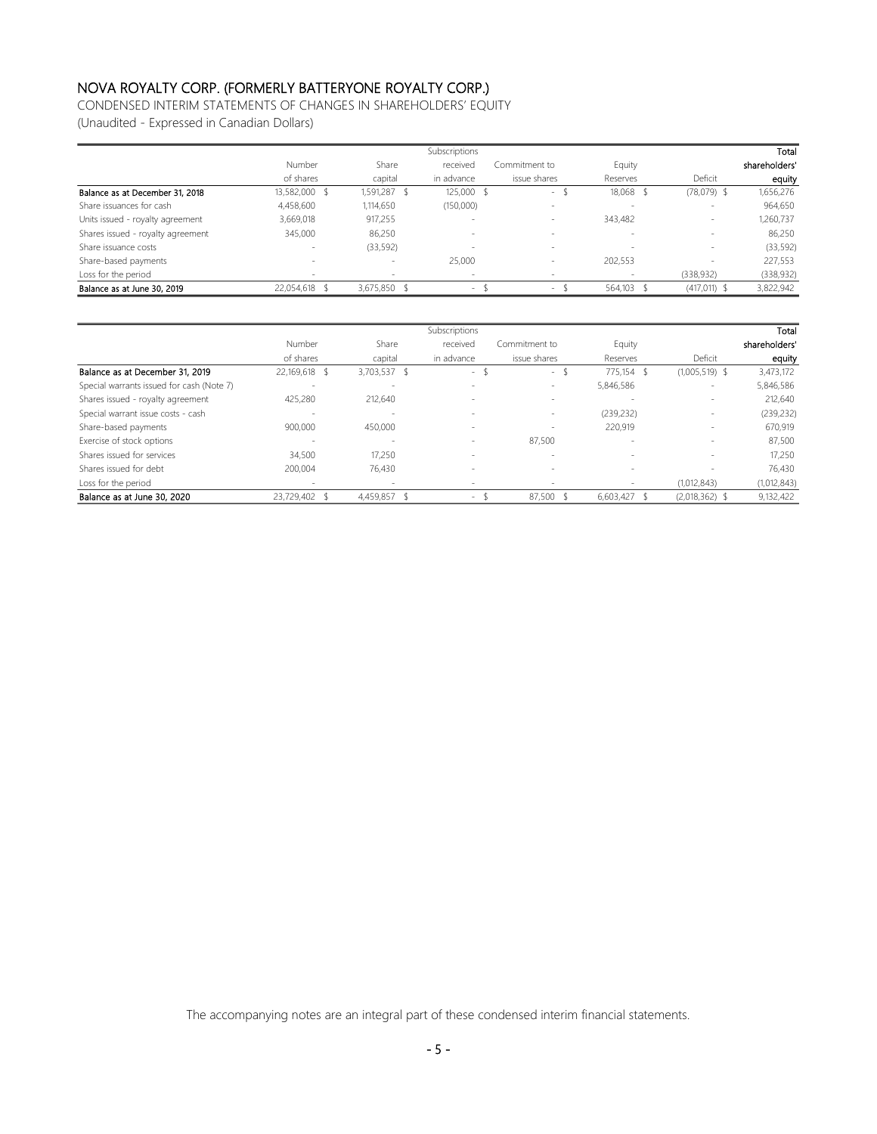CONDENSED INTERIM STATEMENTS OF CHANGES IN SHAREHOLDERS' EQUITY

(Unaudited - Expressed in Canadian Dollars)

|                                   |                          |              | <b>Subscriptions</b> |               |            |               | Total         |
|-----------------------------------|--------------------------|--------------|----------------------|---------------|------------|---------------|---------------|
|                                   | Number                   | Share        | received             | Commitment to | Equity     |               | shareholders' |
|                                   | of shares                | capital      | in advance           | issue shares  | Reserves   | Deficit       | equity        |
| Balance as at December 31, 2018   | 13,582,000 \$            | 1,591,287    | 125,000 \$           | $\sim$        | 18,068 \$  | $(78,079)$ \$ | 1,656,276     |
| Share issuances for cash          | 4,458,600                | 1,114,650    | (150,000)            | $\sim$        |            |               | 964,650       |
| Units issued - royalty agreement  | 3,669,018                | 917,255      |                      | $\sim$        | 343,482    |               | 1,260,737     |
| Shares issued - royalty agreement | 345,000                  | 86,250       | $\sim$               | $\sim$        | $\sim$     |               | 86,250        |
| Share issuance costs              | $\overline{\phantom{a}}$ | (33, 592)    |                      |               | $\sim$     |               | (33, 592)     |
| Share-based payments              | $\overline{\phantom{a}}$ |              | 25,000               | $\sim$        | 202,553    |               | 227,553       |
| Loss for the period               | ×                        |              | $\sim$               | $\sim$        |            | (338, 932)    | (338,932)     |
| Balance as at June 30, 2019       | 22,054,618               | 3,675,850 \$ | $\sim$               | $\sim$        | 564,103 \$ | (417, 011)    | 3,822,942     |

|                                           |                          |              | Subscriptions |               |            |                  | Total         |
|-------------------------------------------|--------------------------|--------------|---------------|---------------|------------|------------------|---------------|
|                                           | Number                   | Share        | received      | Commitment to | Equity     |                  | shareholders' |
|                                           | of shares                | capital      | in advance    | issue shares  | Reserves   | Deficit          | equity        |
| Balance as at December 31, 2019           | 22,169,618 \$            | 3,703,537 \$ | S<br>$\sim$   | $\sim$        | 775,154 \$ | $(1,005,519)$ \$ | 3,473,172     |
| Special warrants issued for cash (Note 7) | $\sim$                   | $\sim$       | $\sim$        | $\sim$        | 5,846,586  | $\sim$           | 5,846,586     |
| Shares issued - royalty agreement         | 425,280                  | 212,640      | $\sim$        | $\sim$        | $\sim$     |                  | 212,640       |
| Special warrant issue costs - cash        | $\overline{\phantom{a}}$ | $\sim$       |               | $\sim$        | (239, 232) |                  | (239, 232)    |
| Share-based payments                      | 900,000                  | 450,000      | $\sim$        |               | 220,919    | $\sim$           | 670,919       |
| Exercise of stock options                 | $\sim$                   | $\sim$       |               | 87.500        | $\sim$     | $\sim$           | 87,500        |
| Shares issued for services                | 34,500                   | 17,250       |               | $\sim$        | $\sim$     | $\sim$           | 17,250        |
| Shares issued for debt                    | 200.004                  | 76.430       | $\sim$        | $\sim$        | $\sim$     |                  | 76.430        |
| Loss for the period                       |                          | -            |               |               |            | (1,012,843)      | (1,012,843)   |
| Balance as at June 30, 2020               | 23,729,402               | 4,459,857 \$ | $\sim$        | 87,500        | 6,603,427  | $(2,018,362)$ \$ | 9,132,422     |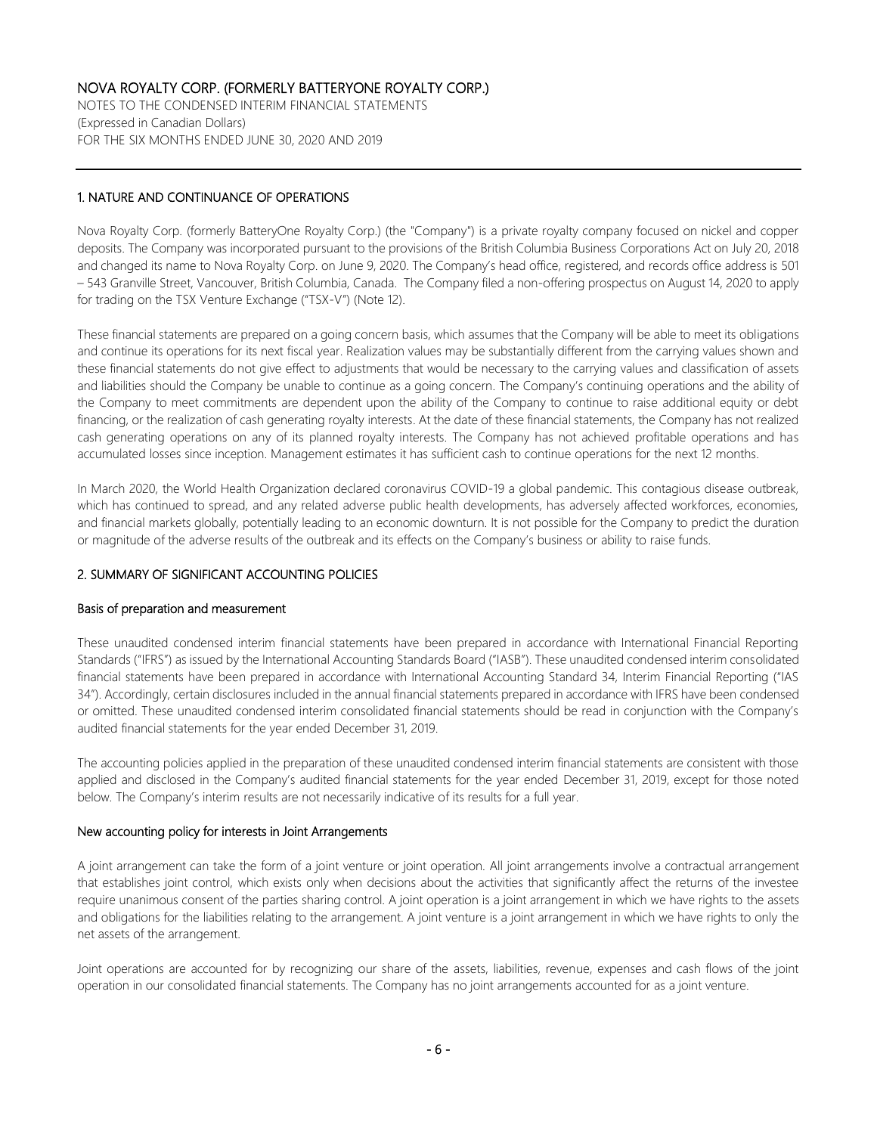NOTES TO THE CONDENSED INTERIM FINANCIAL STATEMENTS (Expressed in Canadian Dollars) FOR THE SIX MONTHS ENDED JUNE 30, 2020 AND 2019

## 1. NATURE AND CONTINUANCE OF OPERATIONS

Nova Royalty Corp. (formerly BatteryOne Royalty Corp.) (the "Company") is a private royalty company focused on nickel and copper deposits. The Company was incorporated pursuant to the provisions of the British Columbia Business Corporations Act on July 20, 2018 and changed its name to Nova Royalty Corp. on June 9, 2020. The Company's head office, registered, and records office address is 501 – 543 Granville Street, Vancouver, British Columbia, Canada. The Company filed a non-offering prospectus on August 14, 2020 to apply for trading on the TSX Venture Exchange ("TSX-V") (Note 12).

These financial statements are prepared on a going concern basis, which assumes that the Company will be able to meet its obligations and continue its operations for its next fiscal year. Realization values may be substantially different from the carrying values shown and these financial statements do not give effect to adjustments that would be necessary to the carrying values and classification of assets and liabilities should the Company be unable to continue as a going concern. The Company's continuing operations and the ability of the Company to meet commitments are dependent upon the ability of the Company to continue to raise additional equity or debt financing, or the realization of cash generating royalty interests. At the date of these financial statements, the Company has not realized cash generating operations on any of its planned royalty interests. The Company has not achieved profitable operations and has accumulated losses since inception. Management estimates it has sufficient cash to continue operations for the next 12 months.

In March 2020, the World Health Organization declared coronavirus COVID-19 a global pandemic. This contagious disease outbreak, which has continued to spread, and any related adverse public health developments, has adversely affected workforces, economies, and financial markets globally, potentially leading to an economic downturn. It is not possible for the Company to predict the duration or magnitude of the adverse results of the outbreak and its effects on the Company's business or ability to raise funds.

## 2. SUMMARY OF SIGNIFICANT ACCOUNTING POLICIES

### Basis of preparation and measurement

These unaudited condensed interim financial statements have been prepared in accordance with International Financial Reporting Standards ("IFRS") as issued by the International Accounting Standards Board ("IASB"). These unaudited condensed interim consolidated financial statements have been prepared in accordance with International Accounting Standard 34, Interim Financial Reporting ("IAS 34"). Accordingly, certain disclosures included in the annual financial statements prepared in accordance with IFRS have been condensed or omitted. These unaudited condensed interim consolidated financial statements should be read in conjunction with the Company's audited financial statements for the year ended December 31, 2019.

The accounting policies applied in the preparation of these unaudited condensed interim financial statements are consistent with those applied and disclosed in the Company's audited financial statements for the year ended December 31, 2019, except for those noted below. The Company's interim results are not necessarily indicative of its results for a full year.

#### New accounting policy for interests in Joint Arrangements

A joint arrangement can take the form of a joint venture or joint operation. All joint arrangements involve a contractual arrangement that establishes joint control, which exists only when decisions about the activities that significantly affect the returns of the investee require unanimous consent of the parties sharing control. A joint operation is a joint arrangement in which we have rights to the assets and obligations for the liabilities relating to the arrangement. A joint venture is a joint arrangement in which we have rights to only the net assets of the arrangement.

Joint operations are accounted for by recognizing our share of the assets, liabilities, revenue, expenses and cash flows of the joint operation in our consolidated financial statements. The Company has no joint arrangements accounted for as a joint venture.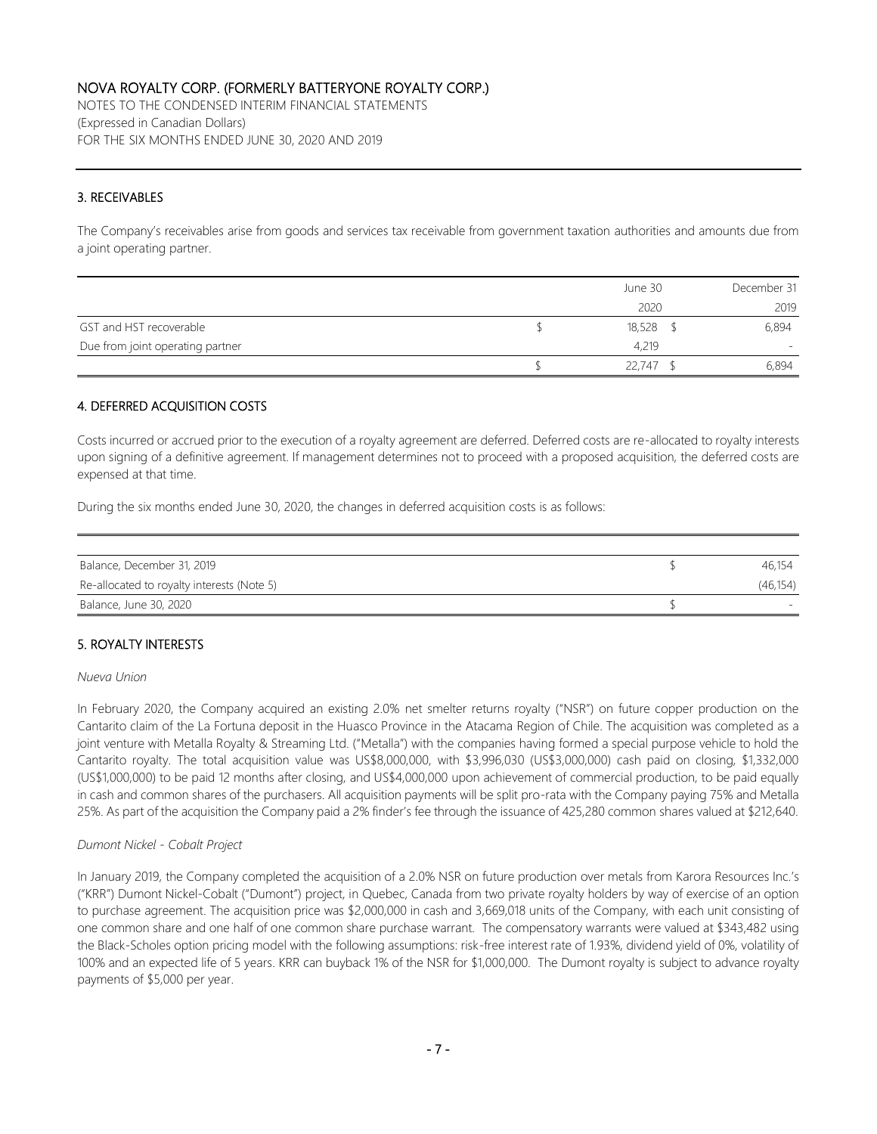NOTES TO THE CONDENSED INTERIM FINANCIAL STATEMENTS (Expressed in Canadian Dollars) FOR THE SIX MONTHS ENDED JUNE 30, 2020 AND 2019

## 3. RECEIVABLES

The Company's receivables arise from goods and services tax receivable from government taxation authorities and amounts due from a joint operating partner.

|                                  | June 30     | December 31              |
|----------------------------------|-------------|--------------------------|
|                                  | 2020        | 2019                     |
| GST and HST recoverable          | $18,528$ \$ | 6,894                    |
| Due from joint operating partner | 4,219       | $\overline{\phantom{0}}$ |
|                                  | 22.747      | 6,894                    |

### 4. DEFERRED ACQUISITION COSTS

Costs incurred or accrued prior to the execution of a royalty agreement are deferred. Deferred costs are re-allocated to royalty interests upon signing of a definitive agreement. If management determines not to proceed with a proposed acquisition, the deferred costs are expensed at that time.

During the six months ended June 30, 2020, the changes in deferred acquisition costs is as follows:

| Balance, December 31, 2019                 | 46.154    |
|--------------------------------------------|-----------|
| Re-allocated to royalty interests (Note 5) | (46, 154) |
| Balance, June 30, 2020                     |           |

### 5. ROYALTY INTERESTS

#### *Nueva Union*

In February 2020, the Company acquired an existing 2.0% net smelter returns royalty ("NSR") on future copper production on the Cantarito claim of the La Fortuna deposit in the Huasco Province in the Atacama Region of Chile. The acquisition was completed as a joint venture with Metalla Royalty & Streaming Ltd. ("Metalla") with the companies having formed a special purpose vehicle to hold the Cantarito royalty. The total acquisition value was US\$8,000,000, with \$3,996,030 (US\$3,000,000) cash paid on closing, \$1,332,000 (US\$1,000,000) to be paid 12 months after closing, and US\$4,000,000 upon achievement of commercial production, to be paid equally in cash and common shares of the purchasers. All acquisition payments will be split pro-rata with the Company paying 75% and Metalla 25%. As part of the acquisition the Company paid a 2% finder's fee through the issuance of 425,280 common shares valued at \$212,640.

### *Dumont Nickel - Cobalt Project*

In January 2019, the Company completed the acquisition of a 2.0% NSR on future production over metals from Karora Resources Inc.'s ("KRR") Dumont Nickel-Cobalt ("Dumont") project, in Quebec, Canada from two private royalty holders by way of exercise of an option to purchase agreement. The acquisition price was \$2,000,000 in cash and 3,669,018 units of the Company, with each unit consisting of one common share and one half of one common share purchase warrant. The compensatory warrants were valued at \$343,482 using the Black-Scholes option pricing model with the following assumptions: risk-free interest rate of 1.93%, dividend yield of 0%, volatility of 100% and an expected life of 5 years. KRR can buyback 1% of the NSR for \$1,000,000. The Dumont royalty is subject to advance royalty payments of \$5,000 per year.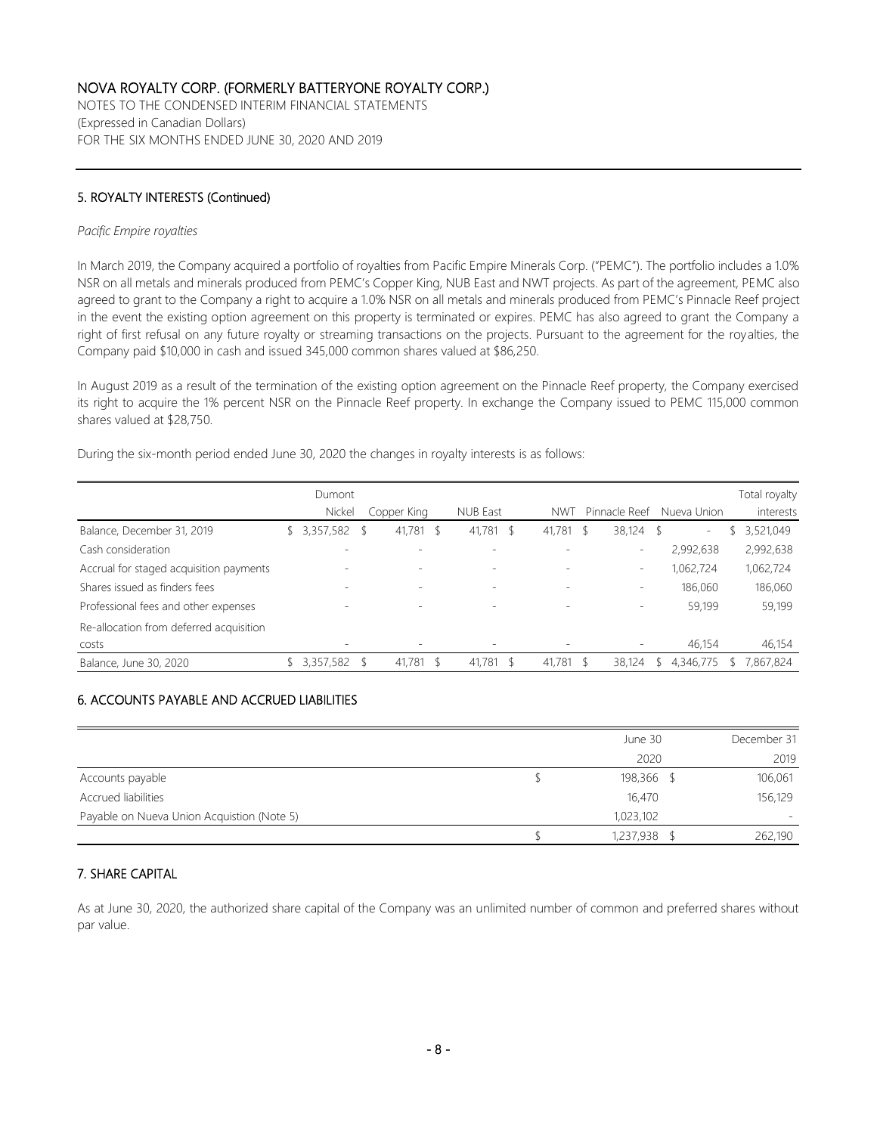NOTES TO THE CONDENSED INTERIM FINANCIAL STATEMENTS (Expressed in Canadian Dollars) FOR THE SIX MONTHS ENDED JUNE 30, 2020 AND 2019

## 5. ROYALTY INTERESTS (Continued)

#### *Pacific Empire royalties*

In March 2019, the Company acquired a portfolio of royalties from Pacific Empire Minerals Corp. ("PEMC"). The portfolio includes a 1.0% NSR on all metals and minerals produced from PEMC's Copper King, NUB East and NWT projects. As part of the agreement, PEMC also agreed to grant to the Company a right to acquire a 1.0% NSR on all metals and minerals produced from PEMC's Pinnacle Reef project in the event the existing option agreement on this property is terminated or expires. PEMC has also agreed to grant the Company a right of first refusal on any future royalty or streaming transactions on the projects. Pursuant to the agreement for the royalties, the Company paid \$10,000 in cash and issued 345,000 common shares valued at \$86,250.

In August 2019 as a result of the termination of the existing option agreement on the Pinnacle Reef property, the Company exercised its right to acquire the 1% percent NSR on the Pinnacle Reef property. In exchange the Company issued to PEMC 115,000 common shares valued at \$28,750.

|                                         | Dumont    |                          |   |                          |                          |                          |    |                          | Total royalty |
|-----------------------------------------|-----------|--------------------------|---|--------------------------|--------------------------|--------------------------|----|--------------------------|---------------|
|                                         | Nickel    | Copper King              |   | <b>NUB East</b>          | <b>NWT</b>               | Pinnacle Reef            |    | Nueva Union              | interests     |
| Balance, December 31, 2019              | 3,357,582 | 41,781                   | S | 41,781<br>- \$           | 41.781                   | 38,124<br>S              | -S | $\overline{\phantom{a}}$ | 3,521,049     |
| Cash consideration                      |           |                          |   |                          |                          | $\overline{\phantom{a}}$ |    | 2,992,638                | 2,992,638     |
| Accrual for staged acquisition payments |           | $\overline{\phantom{0}}$ |   | $\overline{\phantom{a}}$ |                          | $\overline{\phantom{a}}$ |    | 1,062,724                | 1,062,724     |
| Shares issued as finders fees           |           | $\overline{\phantom{a}}$ |   | $\overline{\phantom{a}}$ | $\overline{\phantom{a}}$ | $\overline{\phantom{a}}$ |    | 186,060                  | 186,060       |
| Professional fees and other expenses    |           | $\overline{\phantom{0}}$ |   | -                        |                          | $\overline{\phantom{a}}$ |    | 59,199                   | 59,199        |
| Re-allocation from deferred acquisition |           |                          |   |                          |                          |                          |    |                          |               |
| costs                                   |           | $\overline{\phantom{a}}$ |   |                          |                          | $\overline{\phantom{a}}$ |    | 46,154                   | 46,154        |
| Balance, June 30, 2020                  | 3,357,582 | 41,781                   |   | $41,781$ \$              | 41,781                   | 38,124<br>-S             |    | 4,346,775                | 7,867,824     |

During the six-month period ended June 30, 2020 the changes in royalty interests is as follows:

## 6. ACCOUNTS PAYABLE AND ACCRUED LIABILITIES

|                                            | June 30    | December 31 |
|--------------------------------------------|------------|-------------|
|                                            | 2020       | 2019        |
| Accounts payable                           | 198,366 \$ | 106,061     |
| Accrued liabilities                        | 16,470     | 156,129     |
| Payable on Nueva Union Acquistion (Note 5) | 1,023,102  | ۰           |
|                                            | 1,237,938  | 262,190     |

### 7. SHARE CAPITAL

As at June 30, 2020, the authorized share capital of the Company was an unlimited number of common and preferred shares without par value.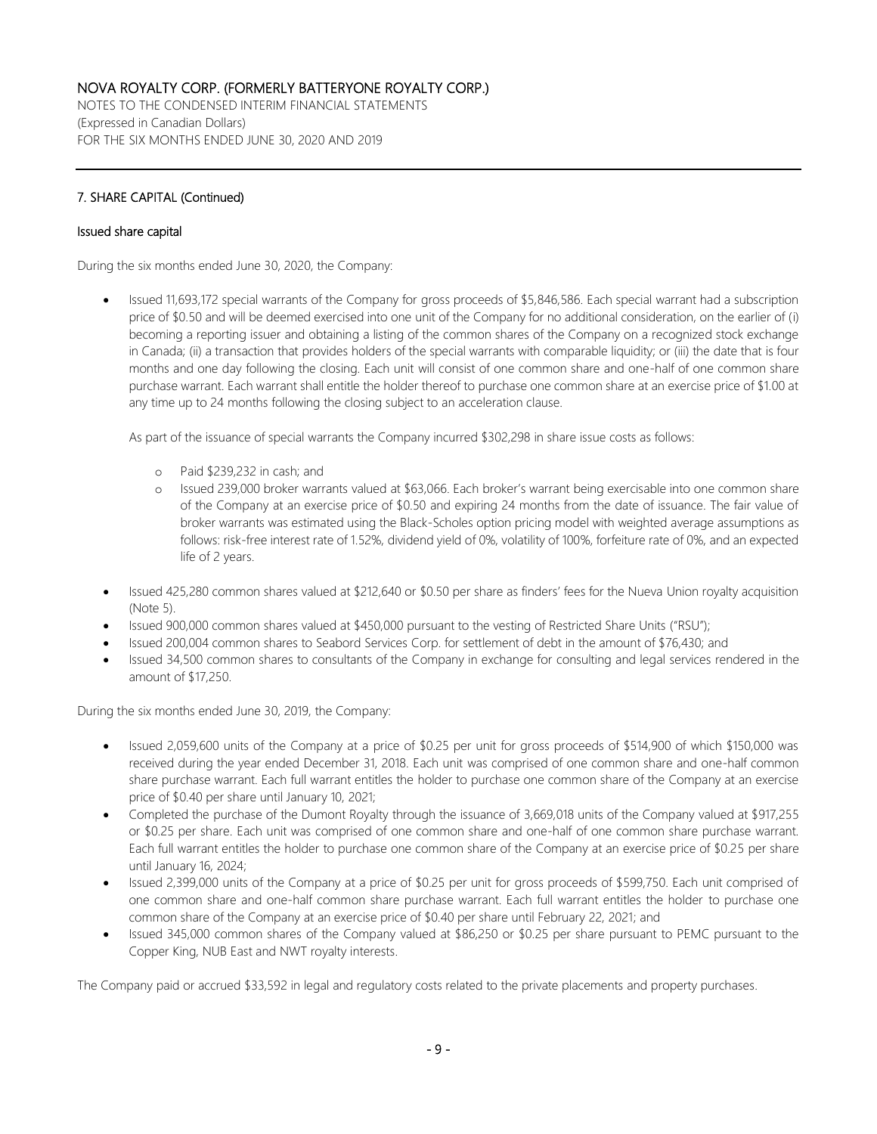NOTES TO THE CONDENSED INTERIM FINANCIAL STATEMENTS (Expressed in Canadian Dollars) FOR THE SIX MONTHS ENDED JUNE 30, 2020 AND 2019

## 7. SHARE CAPITAL (Continued)

#### Issued share capital

During the six months ended June 30, 2020, the Company:

• Issued 11,693,172 special warrants of the Company for gross proceeds of \$5,846,586. Each special warrant had a subscription price of \$0.50 and will be deemed exercised into one unit of the Company for no additional consideration, on the earlier of (i) becoming a reporting issuer and obtaining a listing of the common shares of the Company on a recognized stock exchange in Canada; (ii) a transaction that provides holders of the special warrants with comparable liquidity; or (iii) the date that is four months and one day following the closing. Each unit will consist of one common share and one-half of one common share purchase warrant. Each warrant shall entitle the holder thereof to purchase one common share at an exercise price of \$1.00 at any time up to 24 months following the closing subject to an acceleration clause.

As part of the issuance of special warrants the Company incurred \$302,298 in share issue costs as follows:

- o Paid \$239,232 in cash; and
- o Issued 239,000 broker warrants valued at \$63,066. Each broker's warrant being exercisable into one common share of the Company at an exercise price of \$0.50 and expiring 24 months from the date of issuance. The fair value of broker warrants was estimated using the Black-Scholes option pricing model with weighted average assumptions as follows: risk-free interest rate of 1.52%, dividend yield of 0%, volatility of 100%, forfeiture rate of 0%, and an expected life of 2 years.
- Issued 425,280 common shares valued at \$212,640 or \$0.50 per share as finders' fees for the Nueva Union royalty acquisition (Note 5).
- Issued 900,000 common shares valued at \$450,000 pursuant to the vesting of Restricted Share Units ("RSU");
- Issued 200,004 common shares to Seabord Services Corp. for settlement of debt in the amount of \$76,430; and
- Issued 34,500 common shares to consultants of the Company in exchange for consulting and legal services rendered in the amount of \$17,250.

During the six months ended June 30, 2019, the Company:

- Issued 2,059,600 units of the Company at a price of \$0.25 per unit for gross proceeds of \$514,900 of which \$150,000 was received during the year ended December 31, 2018. Each unit was comprised of one common share and one-half common share purchase warrant. Each full warrant entitles the holder to purchase one common share of the Company at an exercise price of \$0.40 per share until January 10, 2021;
- Completed the purchase of the Dumont Royalty through the issuance of 3,669,018 units of the Company valued at \$917,255 or \$0.25 per share. Each unit was comprised of one common share and one-half of one common share purchase warrant. Each full warrant entitles the holder to purchase one common share of the Company at an exercise price of \$0.25 per share until January 16, 2024;
- Issued 2,399,000 units of the Company at a price of \$0.25 per unit for gross proceeds of \$599,750. Each unit comprised of one common share and one-half common share purchase warrant. Each full warrant entitles the holder to purchase one common share of the Company at an exercise price of \$0.40 per share until February 22, 2021; and
- Issued 345,000 common shares of the Company valued at \$86,250 or \$0.25 per share pursuant to PEMC pursuant to the Copper King, NUB East and NWT royalty interests.

The Company paid or accrued \$33,592 in legal and regulatory costs related to the private placements and property purchases.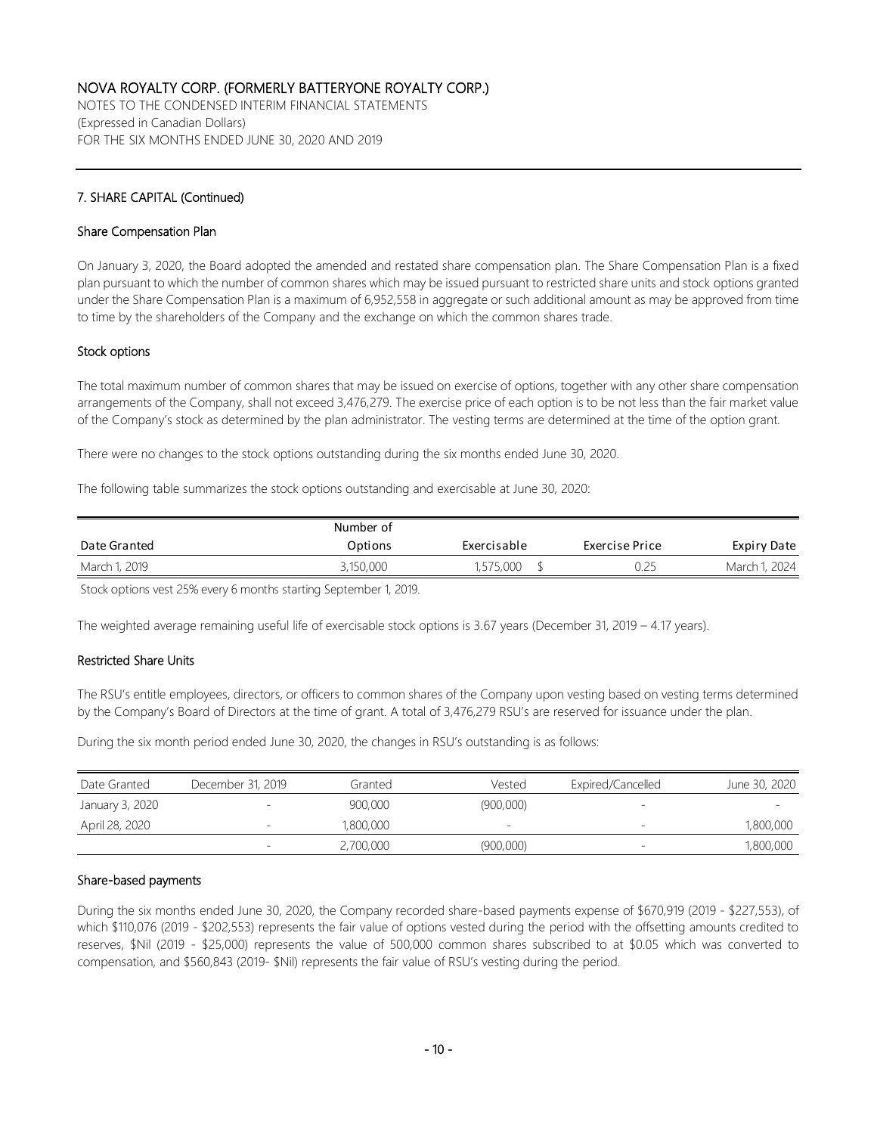NOTES TO THE CONDENSED INTERIM FINANCIAL STATEMENTS (Expressed in Canadian Dollars) FOR THE SIX MONTHS ENDED JUNE 30, 2020 AND 2019

## 7. SHARE CAPITAL (Continued)

#### Share Compensation Plan

On January 3, 2020, the Board adopted the amended and restated share compensation plan. The Share Compensation Plan is a fixed plan pursuant to which the number of common shares which may be issued pursuant to restricted share units and stock options granted under the Share Compensation Plan is a maximum of 6,952,558 in aggregate or such additional amount as may be approved from time to time by the shareholders of the Company and the exchange on which the common shares trade.

### Stock options

The total maximum number of common shares that may be issued on exercise of options, together with any other share compensation arrangements of the Company, shall not exceed 3,476,279. The exercise price of each option is to be not less than the fair market value of the Company's stock as determined by the plan administrator. The vesting terms are determined at the time of the option grant.

There were no changes to the stock options outstanding during the six months ended June 30, 2020.

The following table summarizes the stock options outstanding and exercisable at June 30, 2020:

|               | Number of |             |                |               |
|---------------|-----------|-------------|----------------|---------------|
| Date Granted  | Options   | Exercisable | Exercise Price | Expiry Date   |
| March 1, 2019 | 3,150,000 | 1,575,000   | 0.25           | March 1, 2024 |

Stock options vest 25% every 6 months starting September 1, 2019.

The weighted average remaining useful life of exercisable stock options is 3.67 years (December 31, 2019 – 4.17 years).

### Restricted Share Units

The RSU's entitle employees, directors, or officers to common shares of the Company upon vesting based on vesting terms determined by the Company's Board of Directors at the time of grant. A total of 3,476,279 RSU's are reserved for issuance under the plan.

During the six month period ended June 30, 2020, the changes in RSU's outstanding is as follows:

| Date Granted    | December 31, 2019        | Granted   | Vested                   | Expired/Cancelled        | June 30, 2020 |
|-----------------|--------------------------|-----------|--------------------------|--------------------------|---------------|
| January 3, 2020 |                          | 900,000   | (900,000)                |                          |               |
| April 28, 2020  |                          | 1,800,000 | $\overline{\phantom{0}}$ | $\overline{\phantom{a}}$ | 1,800,000     |
|                 | $\overline{\phantom{0}}$ | 2,700,000 | (900,000)                | $\qquad \qquad -$        | 1,800,000     |

#### Share-based payments

During the six months ended June 30, 2020, the Company recorded share-based payments expense of \$670,919 (2019 - \$227,553), of which \$110,076 (2019 - \$202,553) represents the fair value of options vested during the period with the offsetting amounts credited to reserves, \$Nil (2019 - \$25,000) represents the value of 500,000 common shares subscribed to at \$0.05 which was converted to compensation, and \$560,843 (2019- \$Nil) represents the fair value of RSU's vesting during the period.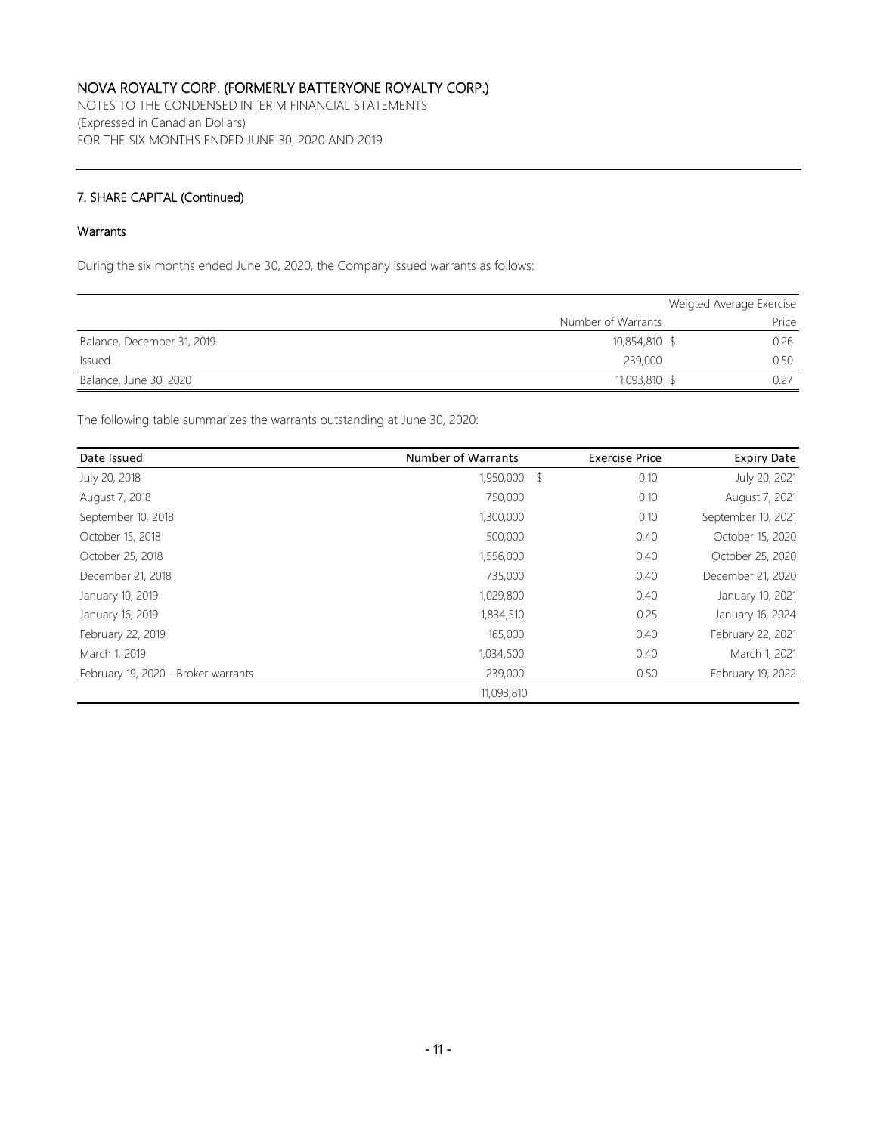NOTES TO THE CONDENSED INTERIM FINANCIAL STATEMENTS (Expressed in Canadian Dollars) FOR THE SIX MONTHS ENDED JUNE 30, 2020 AND 2019

### 7. SHARE CAPITAL (Continued)

### Warrants

During the six months ended June 30, 2020, the Company issued warrants as follows:

|                            |                    | Weigted Average Exercise |
|----------------------------|--------------------|--------------------------|
|                            | Number of Warrants | Price                    |
| Balance, December 31, 2019 | 10,854,810 \$      | 0.26                     |
| Issued                     | 239,000            | 0.50                     |
| Balance, June 30, 2020     | 11,093,810 \$      | 0.27                     |

The following table summarizes the warrants outstanding at June 30, 2020:

| Date Issued                         | <b>Number of Warrants</b> | <b>Exercise Price</b> | <b>Expiry Date</b> |
|-------------------------------------|---------------------------|-----------------------|--------------------|
| July 20, 2018                       | 1,950,000 \$              | 0.10                  | July 20, 2021      |
| August 7, 2018                      | 750,000                   | 0.10                  | August 7, 2021     |
| September 10, 2018                  | 1,300,000                 | 0.10                  | September 10, 2021 |
| October 15, 2018                    | 500,000                   | 0.40                  | October 15, 2020   |
| October 25, 2018                    | 1,556,000                 | 0.40                  | October 25, 2020   |
| December 21, 2018                   | 735,000                   | 0.40                  | December 21, 2020  |
| January 10, 2019                    | 1,029,800                 | 0.40                  | January 10, 2021   |
| January 16, 2019                    | 1,834,510                 | 0.25                  | January 16, 2024   |
| February 22, 2019                   | 165,000                   | 0.40                  | February 22, 2021  |
| March 1, 2019                       | 1,034,500                 | 0.40                  | March 1, 2021      |
| February 19, 2020 - Broker warrants | 239,000                   | 0.50                  | February 19, 2022  |
|                                     | 11,093,810                |                       |                    |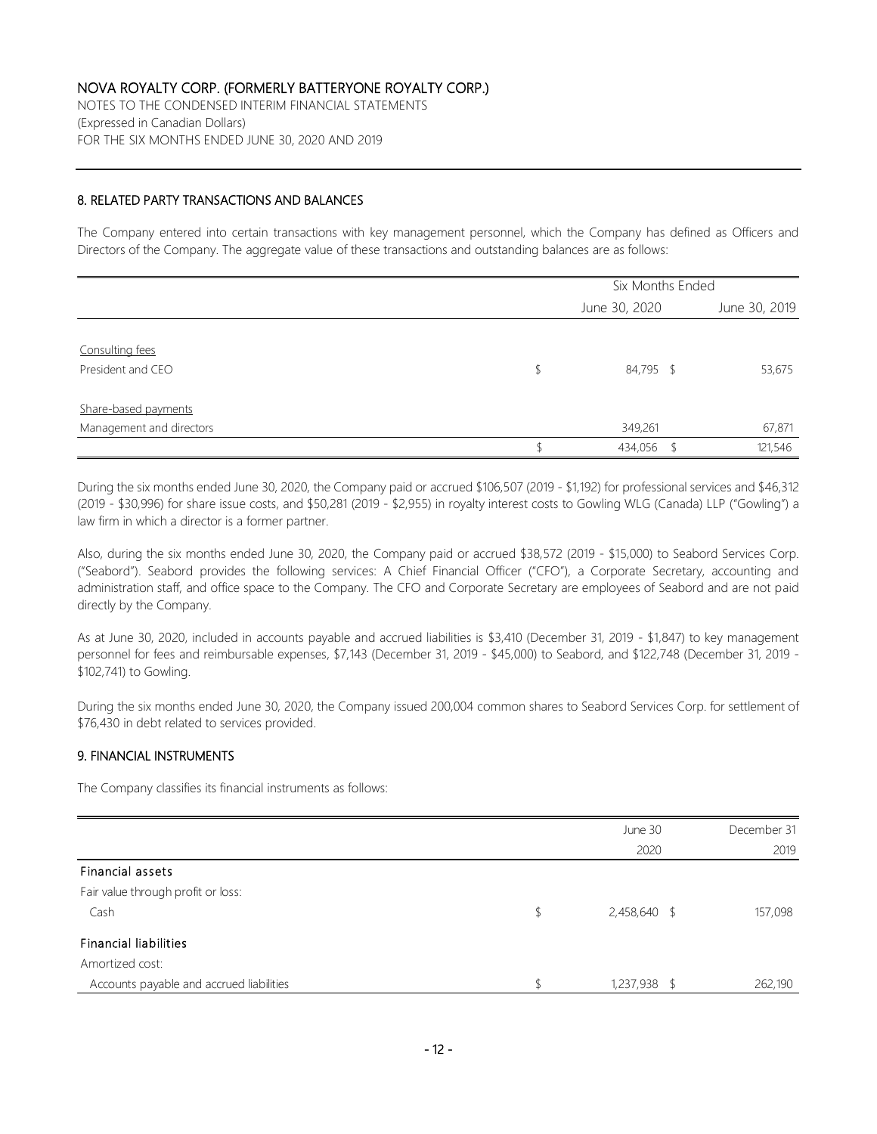NOTES TO THE CONDENSED INTERIM FINANCIAL STATEMENTS (Expressed in Canadian Dollars) FOR THE SIX MONTHS ENDED JUNE 30, 2020 AND 2019

#### 8. RELATED PARTY TRANSACTIONS AND BALANCES

The Company entered into certain transactions with key management personnel, which the Company has defined as Officers and Directors of the Company. The aggregate value of these transactions and outstanding balances are as follows:

|                          | Six Months Ended |  |               |  |
|--------------------------|------------------|--|---------------|--|
|                          | June 30, 2020    |  | June 30, 2019 |  |
|                          |                  |  |               |  |
| Consulting fees          |                  |  |               |  |
| President and CEO        | 84,795 \$        |  | 53,675        |  |
|                          |                  |  |               |  |
| Share-based payments     |                  |  |               |  |
| Management and directors | 349,261          |  | 67,871        |  |
|                          | 434,056          |  | 121,546       |  |

During the six months ended June 30, 2020, the Company paid or accrued \$106,507 (2019 - \$1,192) for professional services and \$46,312 (2019 - \$30,996) for share issue costs, and \$50,281 (2019 - \$2,955) in royalty interest costs to Gowling WLG (Canada) LLP ("Gowling") a law firm in which a director is a former partner.

Also, during the six months ended June 30, 2020, the Company paid or accrued \$38,572 (2019 - \$15,000) to Seabord Services Corp. ("Seabord"). Seabord provides the following services: A Chief Financial Officer ("CFO"), a Corporate Secretary, accounting and administration staff, and office space to the Company. The CFO and Corporate Secretary are employees of Seabord and are not paid directly by the Company.

As at June 30, 2020, included in accounts payable and accrued liabilities is \$3,410 (December 31, 2019 - \$1,847) to key management personnel for fees and reimbursable expenses, \$7,143 (December 31, 2019 - \$45,000) to Seabord, and \$122,748 (December 31, 2019 - \$102,741) to Gowling.

During the six months ended June 30, 2020, the Company issued 200,004 common shares to Seabord Services Corp. for settlement of \$76,430 in debt related to services provided.

### 9. FINANCIAL INSTRUMENTS

The Company classifies its financial instruments as follows:

|                                          | June 30            | December 31 |
|------------------------------------------|--------------------|-------------|
|                                          | 2020               | 2019        |
| Financial assets                         |                    |             |
| Fair value through profit or loss:       |                    |             |
| Cash                                     | \$<br>2,458,640 \$ | 157,098     |
| <b>Financial liabilities</b>             |                    |             |
| Amortized cost:                          |                    |             |
| Accounts payable and accrued liabilities | 1,237,938 \$       | 262,190     |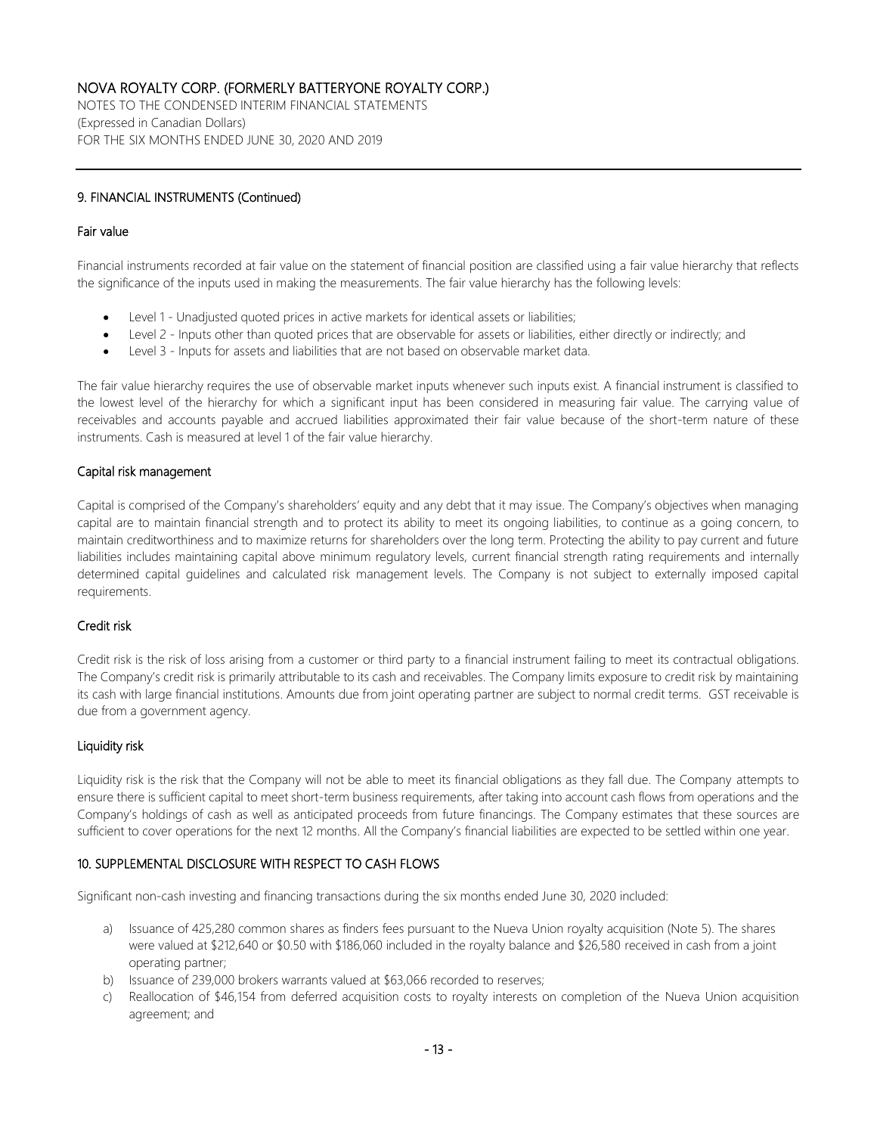NOTES TO THE CONDENSED INTERIM FINANCIAL STATEMENTS (Expressed in Canadian Dollars) FOR THE SIX MONTHS ENDED JUNE 30, 2020 AND 2019

### 9. FINANCIAL INSTRUMENTS (Continued)

#### Fair value

Financial instruments recorded at fair value on the statement of financial position are classified using a fair value hierarchy that reflects the significance of the inputs used in making the measurements. The fair value hierarchy has the following levels:

- Level 1 Unadjusted quoted prices in active markets for identical assets or liabilities;
- Level 2 Inputs other than quoted prices that are observable for assets or liabilities, either directly or indirectly; and
- Level 3 Inputs for assets and liabilities that are not based on observable market data.

The fair value hierarchy requires the use of observable market inputs whenever such inputs exist. A financial instrument is classified to the lowest level of the hierarchy for which a significant input has been considered in measuring fair value. The carrying value of receivables and accounts payable and accrued liabilities approximated their fair value because of the short-term nature of these instruments. Cash is measured at level 1 of the fair value hierarchy.

### Capital risk management

Capital is comprised of the Company's shareholders' equity and any debt that it may issue. The Company's objectives when managing capital are to maintain financial strength and to protect its ability to meet its ongoing liabilities, to continue as a going concern, to maintain creditworthiness and to maximize returns for shareholders over the long term. Protecting the ability to pay current and future liabilities includes maintaining capital above minimum regulatory levels, current financial strength rating requirements and internally determined capital guidelines and calculated risk management levels. The Company is not subject to externally imposed capital requirements.

### Credit risk

Credit risk is the risk of loss arising from a customer or third party to a financial instrument failing to meet its contractual obligations. The Company's credit risk is primarily attributable to its cash and receivables. The Company limits exposure to credit risk by maintaining its cash with large financial institutions. Amounts due from joint operating partner are subject to normal credit terms. GST receivable is due from a government agency.

### Liquidity risk

Liquidity risk is the risk that the Company will not be able to meet its financial obligations as they fall due. The Company attempts to ensure there is sufficient capital to meet short-term business requirements, after taking into account cash flows from operations and the Company's holdings of cash as well as anticipated proceeds from future financings. The Company estimates that these sources are sufficient to cover operations for the next 12 months. All the Company's financial liabilities are expected to be settled within one year.

### 10. SUPPLEMENTAL DISCLOSURE WITH RESPECT TO CASH FLOWS

Significant non-cash investing and financing transactions during the six months ended June 30, 2020 included:

- a) Issuance of 425,280 common shares as finders fees pursuant to the Nueva Union royalty acquisition (Note 5). The shares were valued at \$212,640 or \$0.50 with \$186,060 included in the royalty balance and \$26,580 received in cash from a joint operating partner;
- b) Issuance of 239,000 brokers warrants valued at \$63,066 recorded to reserves;
- c) Reallocation of \$46,154 from deferred acquisition costs to royalty interests on completion of the Nueva Union acquisition agreement; and